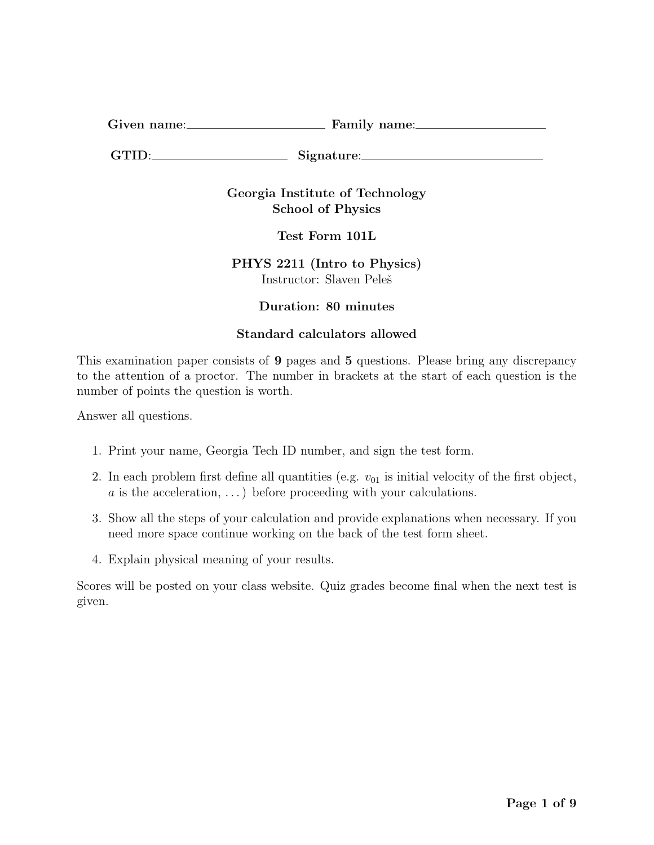Given name: Family name:

GTID: Signature:

Georgia Institute of Technology School of Physics

Test Form 101L

PHYS 2211 (Intro to Physics) Instructor: Slaven Peleš

## Duration: 80 minutes

## Standard calculators allowed

This examination paper consists of 9 pages and 5 questions. Please bring any discrepancy to the attention of a proctor. The number in brackets at the start of each question is the number of points the question is worth.

Answer all questions.

- 1. Print your name, Georgia Tech ID number, and sign the test form.
- 2. In each problem first define all quantities (e.g.  $v_{01}$  is initial velocity of the first object,  $a$  is the acceleration, ...) before proceeding with your calculations.
- 3. Show all the steps of your calculation and provide explanations when necessary. If you need more space continue working on the back of the test form sheet.
- 4. Explain physical meaning of your results.

Scores will be posted on your class website. Quiz grades become final when the next test is given.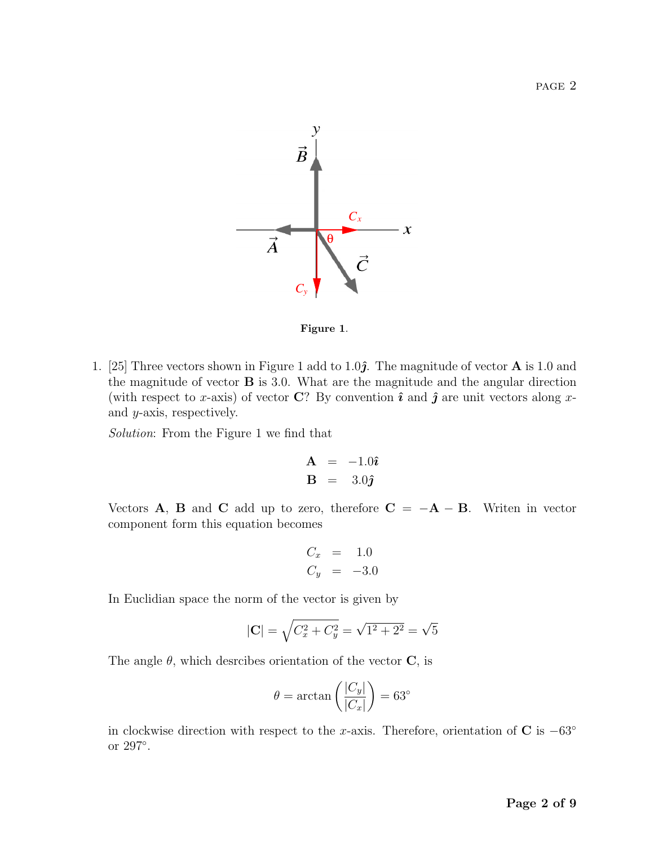

Figure 1.

1. [25] Three vectors shown in Figure 1 add to 1.0 $\hat{j}$ . The magnitude of vector **A** is 1.0 and the magnitude of vector B is 3.0. What are the magnitude and the angular direction (with respect to x-axis) of vector C? By convention  $\hat{\imath}$  and  $\hat{\jmath}$  are unit vectors along xand y-axis, respectively.

Solution: From the Figure 1 we find that

$$
\mathbf{A} = -1.0\hat{\imath} \n\mathbf{B} = 3.0\hat{\jmath}
$$

Vectors **A**, **B** and **C** add up to zero, therefore  $C = -A - B$ . Writen in vector component form this equation becomes

$$
\begin{array}{rcl}\nC_x &=& 1.0 \\
C_y &=& -3.0\n\end{array}
$$

In Euclidian space the norm of the vector is given by

$$
|\mathbf{C}| = \sqrt{C_x^2 + C_y^2} = \sqrt{1^2 + 2^2} = \sqrt{5}
$$

The angle  $\theta$ , which desrcibes orientation of the vector **C**, is

$$
\theta = \arctan\left(\frac{|C_y|}{|C_x|}\right) = 63^\circ
$$

in clockwise direction with respect to the x-axis. Therefore, orientation of C is  $-63°$ or 297◦ .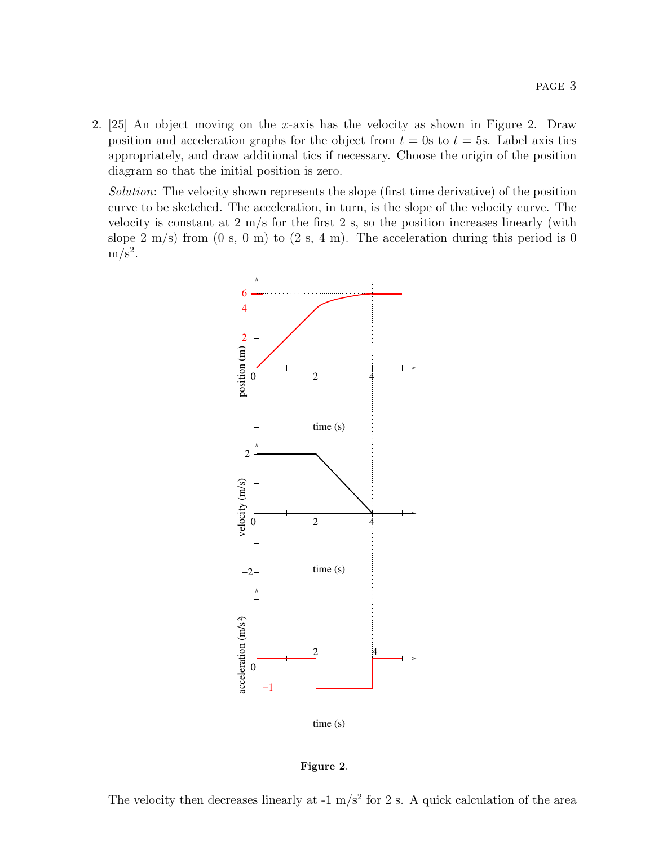2. [25] An object moving on the x-axis has the velocity as shown in Figure 2. Draw position and acceleration graphs for the object from  $t = 0$ s to  $t = 5$ s. Label axis tics appropriately, and draw additional tics if necessary. Choose the origin of the position diagram so that the initial position is zero.

Solution: The velocity shown represents the slope (first time derivative) of the position curve to be sketched. The acceleration, in turn, is the slope of the velocity curve. The velocity is constant at  $2 \text{ m/s}$  for the first  $2 \text{ s}$ , so the position increases linearly (with slope 2 m/s) from  $(0 \text{ s}, 0 \text{ m})$  to  $(2 \text{ s}, 4 \text{ m})$ . The acceleration during this period is 0  $m/s^2$ .



Figure 2.

The velocity then decreases linearly at  $-1$  m/s<sup>2</sup> for 2 s. A quick calculation of the area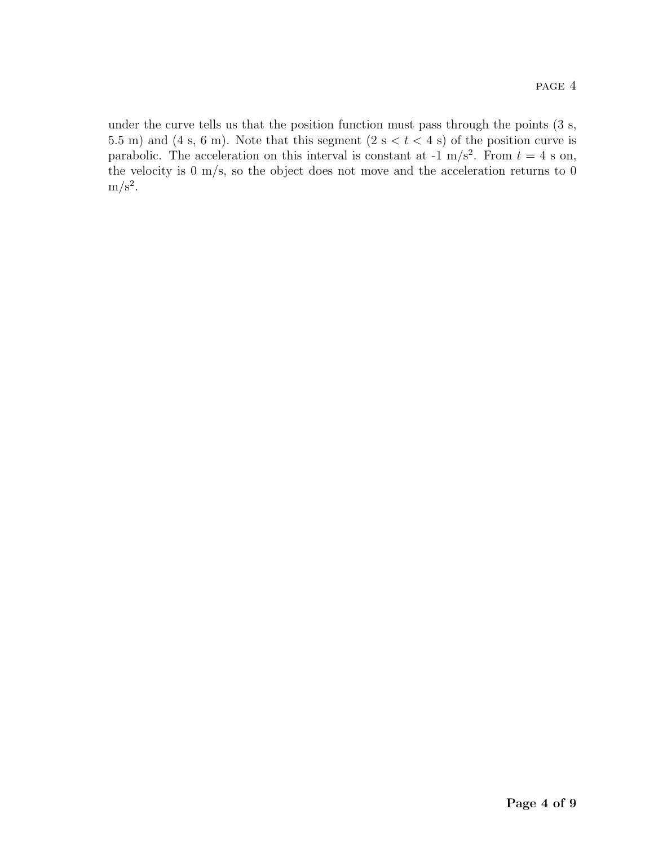under the curve tells us that the position function must pass through the points (3 s, 5.5 m) and (4 s, 6 m). Note that this segment (2 s  $lt$  t  $lt$  4 s) of the position curve is parabolic. The acceleration on this interval is constant at  $-1$  m/s<sup>2</sup>. From  $t = 4$  s on, the velocity is 0 m/s, so the object does not move and the acceleration returns to 0  $m/s^2$ .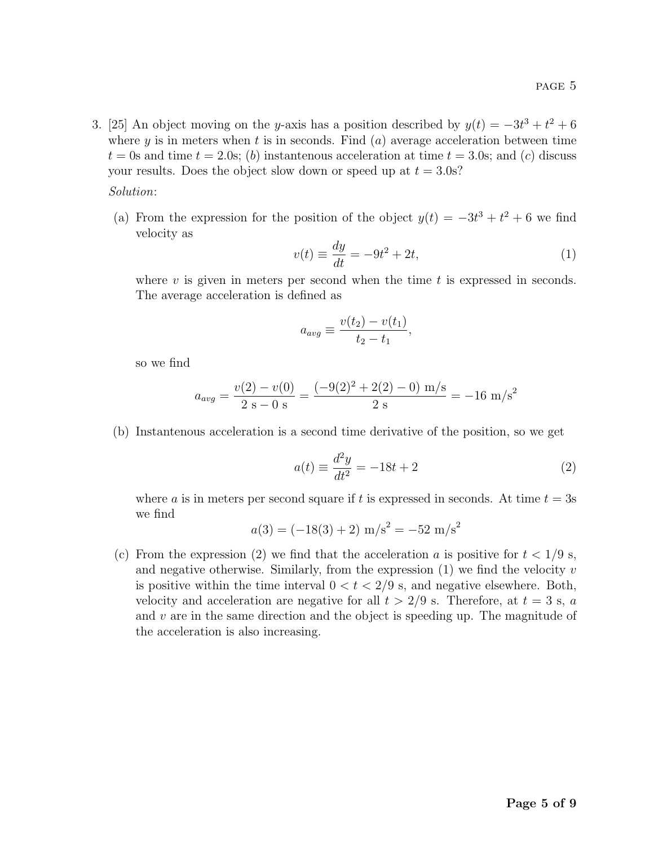3. [25] An object moving on the y-axis has a position described by  $y(t) = -3t^3 + t^2 + 6$ where  $y$  is in meters when  $t$  is in seconds. Find  $(a)$  average acceleration between time  $t = 0$ s and time  $t = 2.0$ s; (b) instantenous acceleration at time  $t = 3.0$ s; and (c) discuss your results. Does the object slow down or speed up at  $t = 3.0$ s?

Solution:

(a) From the expression for the position of the object  $y(t) = -3t^3 + t^2 + 6$  we find velocity as

$$
v(t) \equiv \frac{dy}{dt} = -9t^2 + 2t,\tag{1}
$$

where  $v$  is given in meters per second when the time  $t$  is expressed in seconds. The average acceleration is defined as

$$
a_{avg} \equiv \frac{v(t_2) - v(t_1)}{t_2 - t_1},
$$

so we find

$$
a_{avg} = \frac{v(2) - v(0)}{2 \text{ s} - 0 \text{ s}} = \frac{(-9(2)^2 + 2(2) - 0) \text{ m/s}}{2 \text{ s}} = -16 \text{ m/s}^2
$$

(b) Instantenous acceleration is a second time derivative of the position, so we get

$$
a(t) \equiv \frac{d^2y}{dt^2} = -18t + 2\tag{2}
$$

where a is in meters per second square if t is expressed in seconds. At time  $t = 3s$ we find

$$
a(3) = (-18(3) + 2) \text{ m/s}^2 = -52 \text{ m/s}^2
$$

(c) From the expression (2) we find that the acceleration a is positive for  $t < 1/9$  s, and negative otherwise. Similarly, from the expression  $(1)$  we find the velocity v is positive within the time interval  $0 < t < 2/9$  s, and negative elsewhere. Both, velocity and acceleration are negative for all  $t > 2/9$  s. Therefore, at  $t = 3$  s, a and  $v$  are in the same direction and the object is speeding up. The magnitude of the acceleration is also increasing.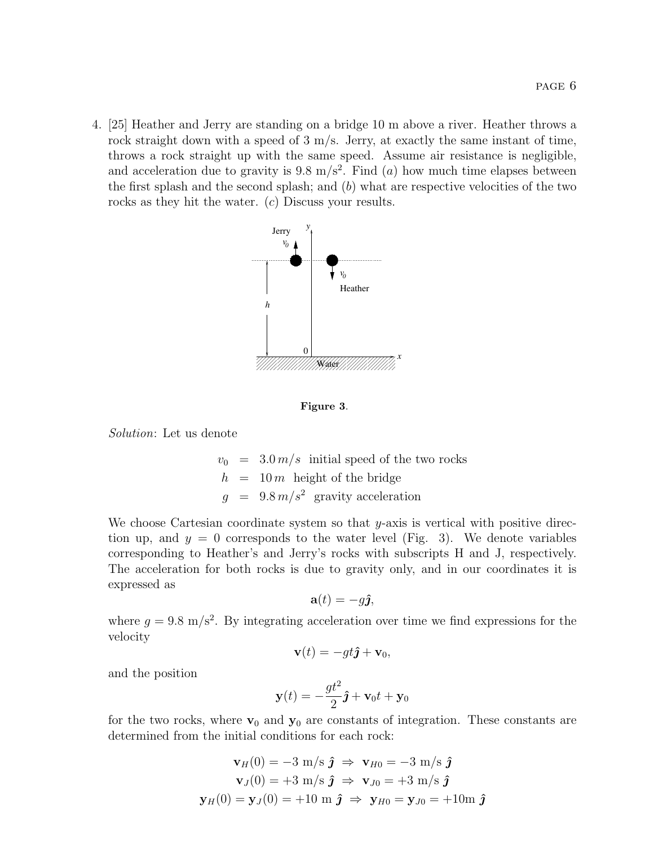4. [25] Heather and Jerry are standing on a bridge 10 m above a river. Heather throws a rock straight down with a speed of 3 m/s. Jerry, at exactly the same instant of time, throws a rock straight up with the same speed. Assume air resistance is negligible, and acceleration due to gravity is  $9.8 \text{ m/s}^2$ . Find (a) how much time elapses between the first splash and the second splash; and  $(b)$  what are respective velocities of the two rocks as they hit the water. (c) Discuss your results.



Figure 3.

Solution: Let us denote

$$
v_0 = 3.0 \, \text{m/s}
$$
 initial speed of the two rocks  
\n
$$
h = 10 \, \text{m}
$$
 height of the bridge  
\n
$$
g = 9.8 \, \text{m/s}^2
$$
 gravity acceleration

We choose Cartesian coordinate system so that  $y$ -axis is vertical with positive direction up, and  $y = 0$  corresponds to the water level (Fig. 3). We denote variables corresponding to Heather's and Jerry's rocks with subscripts H and J, respectively. The acceleration for both rocks is due to gravity only, and in our coordinates it is expressed as

$$
\mathbf{a}(t) = -g\hat{\mathbf{j}},
$$

where  $g = 9.8$  m/s<sup>2</sup>. By integrating acceleration over time we find expressions for the velocity

$$
\mathbf{v}(t) = -gt\hat{\mathbf{j}} + \mathbf{v}_0,
$$

and the position

$$
\mathbf{y}(t) = -\frac{gt^2}{2}\hat{\mathbf{j}} + \mathbf{v}_0 t + \mathbf{y}_0
$$

for the two rocks, where  $v_0$  and  $y_0$  are constants of integration. These constants are determined from the initial conditions for each rock:

$$
\mathbf{v}_H(0) = -3 \text{ m/s } \hat{\jmath} \Rightarrow \mathbf{v}_{H0} = -3 \text{ m/s } \hat{\jmath}
$$
  

$$
\mathbf{v}_J(0) = +3 \text{ m/s } \hat{\jmath} \Rightarrow \mathbf{v}_{J0} = +3 \text{ m/s } \hat{\jmath}
$$
  

$$
\mathbf{y}_H(0) = \mathbf{y}_J(0) = +10 \text{ m } \hat{\jmath} \Rightarrow \mathbf{y}_{H0} = \mathbf{y}_{J0} = +10 \text{ m } \hat{\jmath}
$$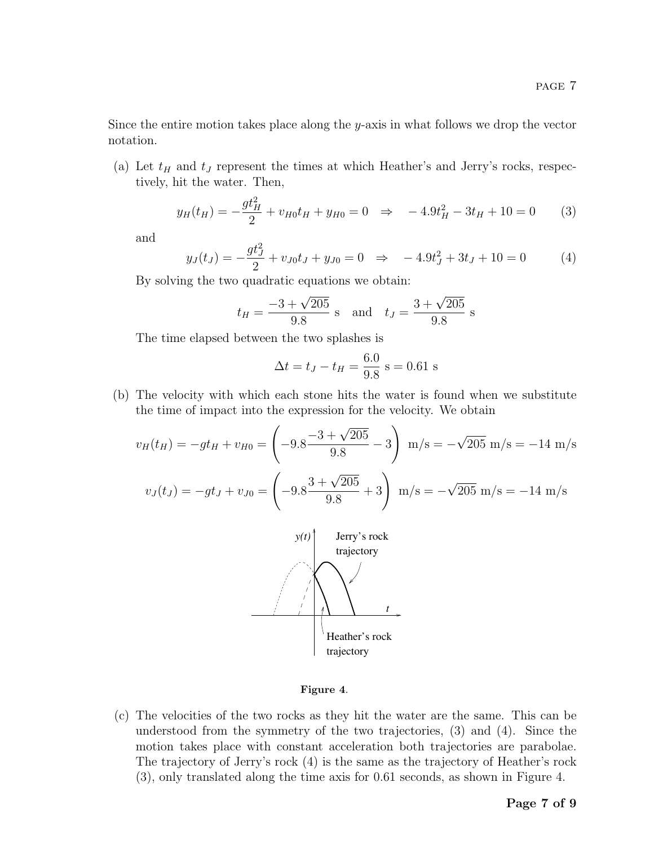Since the entire motion takes place along the y-axis in what follows we drop the vector notation.

(a) Let  $t_H$  and  $t_J$  represent the times at which Heather's and Jerry's rocks, respectively, hit the water. Then,

$$
y_H(t_H) = -\frac{gt_H^2}{2} + v_{H0}t_H + y_{H0} = 0 \quad \Rightarrow \quad -4.9t_H^2 - 3t_H + 10 = 0 \tag{3}
$$

and

$$
y_J(t_J) = -\frac{gt_J^2}{2} + v_{J0}t_J + y_{J0} = 0 \quad \Rightarrow \quad -4.9t_J^2 + 3t_J + 10 = 0 \tag{4}
$$

By solving the two quadratic equations we obtain:

$$
t_H = \frac{-3 + \sqrt{205}}{9.8}
$$
 s and  $t_J = \frac{3 + \sqrt{205}}{9.8}$  s

The time elapsed between the two splashes is

$$
\Delta t = t_J - t_H = \frac{6.0}{9.8}
$$
 s = 0.61 s

(b) The velocity with which each stone hits the water is found when we substitute the time of impact into the expression for the velocity. We obtain

$$
v_H(t_H) = -gt_H + v_{H0} = \left(-9.8 \frac{-3 + \sqrt{205}}{9.8} - 3\right) \text{ m/s} = -\sqrt{205} \text{ m/s} = -14 \text{ m/s}
$$

$$
v_J(t_J) = -gt_J + v_{J0} = \left(-9.8 \frac{3 + \sqrt{205}}{9.8} + 3\right) \text{ m/s} = -\sqrt{205} \text{ m/s} = -14 \text{ m/s}
$$



## Figure 4.

(c) The velocities of the two rocks as they hit the water are the same. This can be understood from the symmetry of the two trajectories, (3) and (4). Since the motion takes place with constant acceleration both trajectories are parabolae. The trajectory of Jerry's rock (4) is the same as the trajectory of Heather's rock (3), only translated along the time axis for 0.61 seconds, as shown in Figure 4.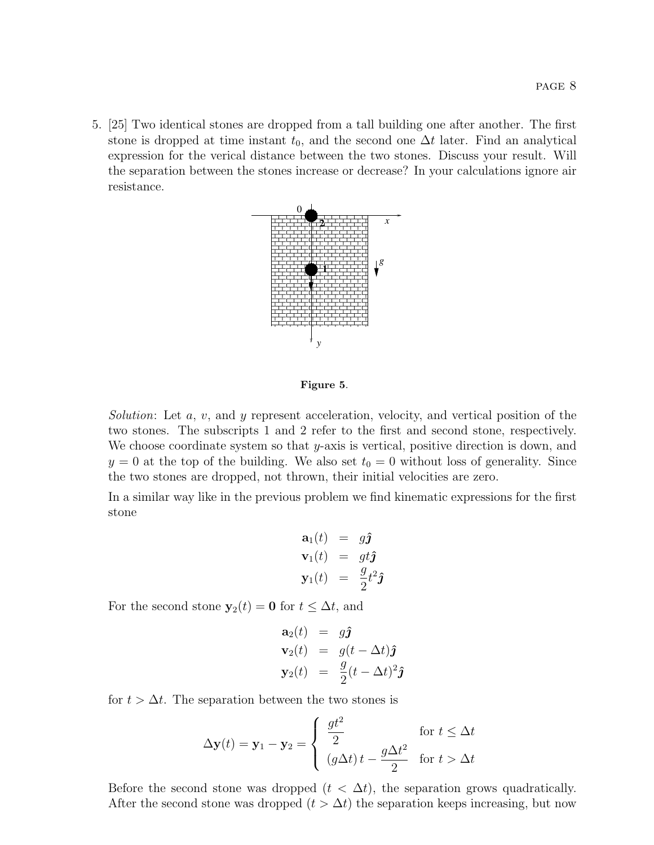5. [25] Two identical stones are dropped from a tall building one after another. The first stone is dropped at time instant  $t_0$ , and the second one  $\Delta t$  later. Find an analytical expression for the verical distance between the two stones. Discuss your result. Will the separation between the stones increase or decrease? In your calculations ignore air resistance.



## Figure 5.

Solution: Let  $a, v$ , and  $y$  represent acceleration, velocity, and vertical position of the two stones. The subscripts 1 and 2 refer to the first and second stone, respectively. We choose coordinate system so that  $y$ -axis is vertical, positive direction is down, and  $y = 0$  at the top of the building. We also set  $t_0 = 0$  without loss of generality. Since the two stones are dropped, not thrown, their initial velocities are zero.

In a similar way like in the previous problem we find kinematic expressions for the first stone

$$
\mathbf{a}_1(t) = g\hat{\mathbf{j}}\n\mathbf{v}_1(t) = gt\hat{\mathbf{j}}\n\mathbf{y}_1(t) = \frac{g}{2}t^2\hat{\mathbf{j}}
$$

For the second stone  $y_2(t) = 0$  for  $t \leq \Delta t$ , and

$$
\mathbf{a}_2(t) = g\hat{\mathbf{j}}\n\mathbf{v}_2(t) = g(t - \Delta t)\hat{\mathbf{j}}\n\mathbf{y}_2(t) = \frac{g}{2}(t - \Delta t)^2 \hat{\mathbf{j}}
$$

for  $t > \Delta t$ . The separation between the two stones is

$$
\Delta \mathbf{y}(t) = \mathbf{y}_1 - \mathbf{y}_2 = \begin{cases} \frac{gt^2}{2} & \text{for } t \le \Delta t \\ (g\Delta t) t - \frac{g\Delta t^2}{2} & \text{for } t > \Delta t \end{cases}
$$

Before the second stone was dropped  $(t < \Delta t)$ , the separation grows quadratically. After the second stone was dropped  $(t > \Delta t)$  the separation keeps increasing, but now